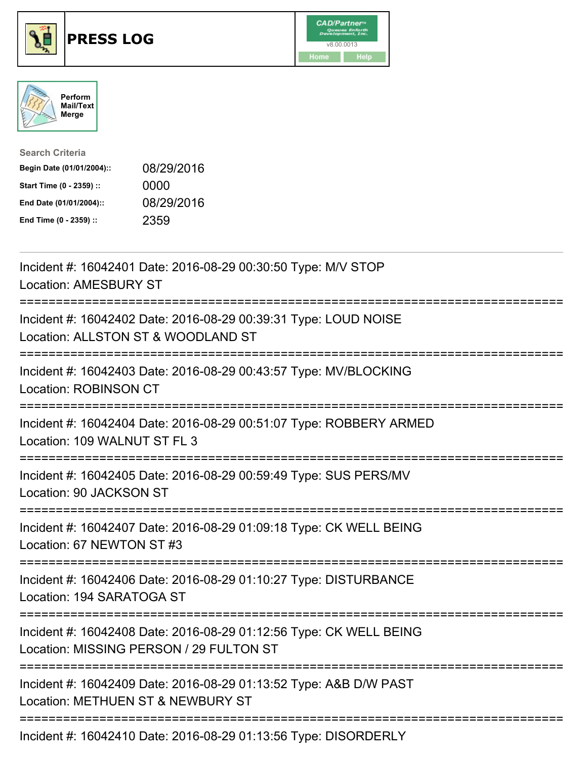





| <b>Search Criteria</b>    |            |
|---------------------------|------------|
| Begin Date (01/01/2004):: | 08/29/2016 |
| Start Time (0 - 2359) ::  | 0000       |
| End Date (01/01/2004)::   | 08/29/2016 |
| End Time (0 - 2359) ::    | 2359       |

| Incident #: 16042401 Date: 2016-08-29 00:30:50 Type: M/V STOP<br><b>Location: AMESBURY ST</b>                                                                                                                                                                                                                                                       |
|-----------------------------------------------------------------------------------------------------------------------------------------------------------------------------------------------------------------------------------------------------------------------------------------------------------------------------------------------------|
| Incident #: 16042402 Date: 2016-08-29 00:39:31 Type: LOUD NOISE<br>Location: ALLSTON ST & WOODLAND ST<br>=======================                                                                                                                                                                                                                    |
| Incident #: 16042403 Date: 2016-08-29 00:43:57 Type: MV/BLOCKING<br>Location: ROBINSON CT                                                                                                                                                                                                                                                           |
| Incident #: 16042404 Date: 2016-08-29 00:51:07 Type: ROBBERY ARMED<br>Location: 109 WALNUT ST FL 3<br>-------------------                                                                                                                                                                                                                           |
| Incident #: 16042405 Date: 2016-08-29 00:59:49 Type: SUS PERS/MV<br>Location: 90 JACKSON ST<br>---------------------                                                                                                                                                                                                                                |
| Incident #: 16042407 Date: 2016-08-29 01:09:18 Type: CK WELL BEING<br>Location: 67 NEWTON ST #3                                                                                                                                                                                                                                                     |
| Incident #: 16042406 Date: 2016-08-29 01:10:27 Type: DISTURBANCE<br>Location: 194 SARATOGA ST                                                                                                                                                                                                                                                       |
| Incident #: 16042408 Date: 2016-08-29 01:12:56 Type: CK WELL BEING<br>Location: MISSING PERSON / 29 FULTON ST                                                                                                                                                                                                                                       |
| Incident #: 16042409 Date: 2016-08-29 01:13:52 Type: A&B D/W PAST<br>Location: METHUEN ST & NEWBURY ST                                                                                                                                                                                                                                              |
| $\overline{a}$ , $\overline{a}$ , $\overline{a}$ , $\overline{a}$ , $\overline{a}$ , $\overline{a}$ , $\overline{a}$ , $\overline{a}$ , $\overline{a}$ , $\overline{a}$ , $\overline{a}$ , $\overline{a}$ , $\overline{a}$ , $\overline{a}$ , $\overline{a}$ , $\overline{a}$ , $\overline{a}$ , $\overline{a}$ , $\overline{a}$ , $\overline{a}$ , |

Incident #: 16042410 Date: 2016-08-29 01:13:56 Type: DISORDERLY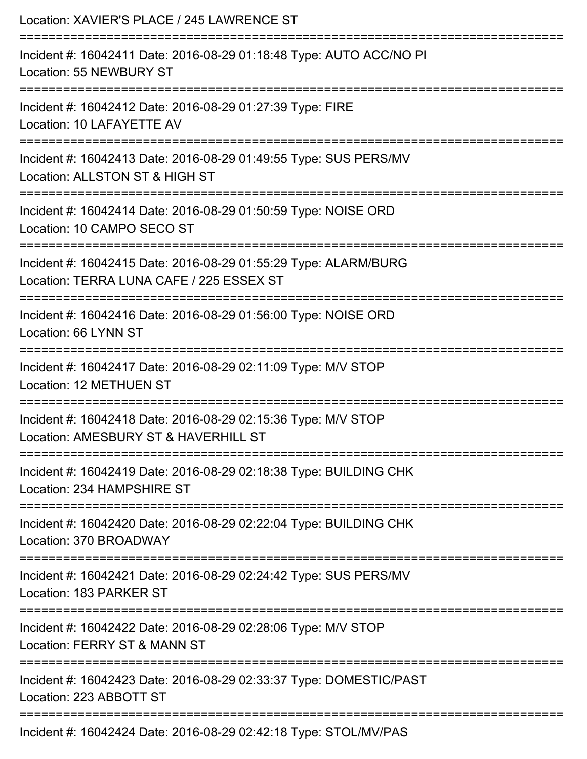| Location: XAVIER'S PLACE / 245 LAWRENCE ST                                                                                                     |
|------------------------------------------------------------------------------------------------------------------------------------------------|
| Incident #: 16042411 Date: 2016-08-29 01:18:48 Type: AUTO ACC/NO PI<br>Location: 55 NEWBURY ST                                                 |
| Incident #: 16042412 Date: 2016-08-29 01:27:39 Type: FIRE<br>Location: 10 LAFAYETTE AV                                                         |
| Incident #: 16042413 Date: 2016-08-29 01:49:55 Type: SUS PERS/MV<br>Location: ALLSTON ST & HIGH ST                                             |
| Incident #: 16042414 Date: 2016-08-29 01:50:59 Type: NOISE ORD<br>Location: 10 CAMPO SECO ST                                                   |
| Incident #: 16042415 Date: 2016-08-29 01:55:29 Type: ALARM/BURG<br>Location: TERRA LUNA CAFE / 225 ESSEX ST<br>=============================== |
| Incident #: 16042416 Date: 2016-08-29 01:56:00 Type: NOISE ORD<br>Location: 66 LYNN ST                                                         |
| Incident #: 16042417 Date: 2016-08-29 02:11:09 Type: M/V STOP<br><b>Location: 12 METHUEN ST</b>                                                |
| Incident #: 16042418 Date: 2016-08-29 02:15:36 Type: M/V STOP<br>Location: AMESBURY ST & HAVERHILL ST                                          |
| Incident #: 16042419 Date: 2016-08-29 02:18:38 Type: BUILDING CHK<br>Location: 234 HAMPSHIRE ST<br>-------------                               |
| Incident #: 16042420 Date: 2016-08-29 02:22:04 Type: BUILDING CHK<br>Location: 370 BROADWAY                                                    |
| Incident #: 16042421 Date: 2016-08-29 02:24:42 Type: SUS PERS/MV<br>Location: 183 PARKER ST                                                    |
| =====================================<br>Incident #: 16042422 Date: 2016-08-29 02:28:06 Type: M/V STOP<br>Location: FERRY ST & MANN ST         |
| Incident #: 16042423 Date: 2016-08-29 02:33:37 Type: DOMESTIC/PAST<br>Location: 223 ABBOTT ST                                                  |
| Incident #: 16042424 Date: 2016-08-29 02:42:18 Type: STOL/MV/PAS                                                                               |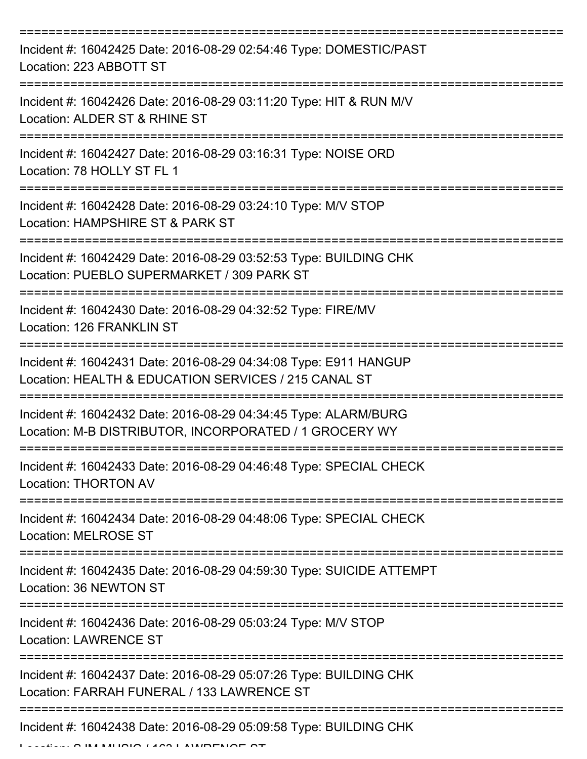| Incident #: 16042425 Date: 2016-08-29 02:54:46 Type: DOMESTIC/PAST<br>Location: 223 ABBOTT ST                                        |
|--------------------------------------------------------------------------------------------------------------------------------------|
| Incident #: 16042426 Date: 2016-08-29 03:11:20 Type: HIT & RUN M/V<br>Location: ALDER ST & RHINE ST                                  |
| Incident #: 16042427 Date: 2016-08-29 03:16:31 Type: NOISE ORD<br>Location: 78 HOLLY ST FL 1                                         |
| Incident #: 16042428 Date: 2016-08-29 03:24:10 Type: M/V STOP<br>Location: HAMPSHIRE ST & PARK ST                                    |
| Incident #: 16042429 Date: 2016-08-29 03:52:53 Type: BUILDING CHK<br>Location: PUEBLO SUPERMARKET / 309 PARK ST<br>:================ |
| Incident #: 16042430 Date: 2016-08-29 04:32:52 Type: FIRE/MV<br>Location: 126 FRANKLIN ST                                            |
| Incident #: 16042431 Date: 2016-08-29 04:34:08 Type: E911 HANGUP<br>Location: HEALTH & EDUCATION SERVICES / 215 CANAL ST             |
| Incident #: 16042432 Date: 2016-08-29 04:34:45 Type: ALARM/BURG<br>Location: M-B DISTRIBUTOR, INCORPORATED / 1 GROCERY WY            |
| Incident #: 16042433 Date: 2016-08-29 04:46:48 Type: SPECIAL CHECK<br><b>Location: THORTON AV</b>                                    |
| Incident #: 16042434 Date: 2016-08-29 04:48:06 Type: SPECIAL CHECK<br><b>Location: MELROSE ST</b>                                    |
| Incident #: 16042435 Date: 2016-08-29 04:59:30 Type: SUICIDE ATTEMPT<br>Location: 36 NEWTON ST                                       |
| Incident #: 16042436 Date: 2016-08-29 05:03:24 Type: M/V STOP<br><b>Location: LAWRENCE ST</b>                                        |
| Incident #: 16042437 Date: 2016-08-29 05:07:26 Type: BUILDING CHK<br>Location: FARRAH FUNERAL / 133 LAWRENCE ST                      |
| Incident #: 16042438 Date: 2016-08-29 05:09:58 Type: BUILDING CHK                                                                    |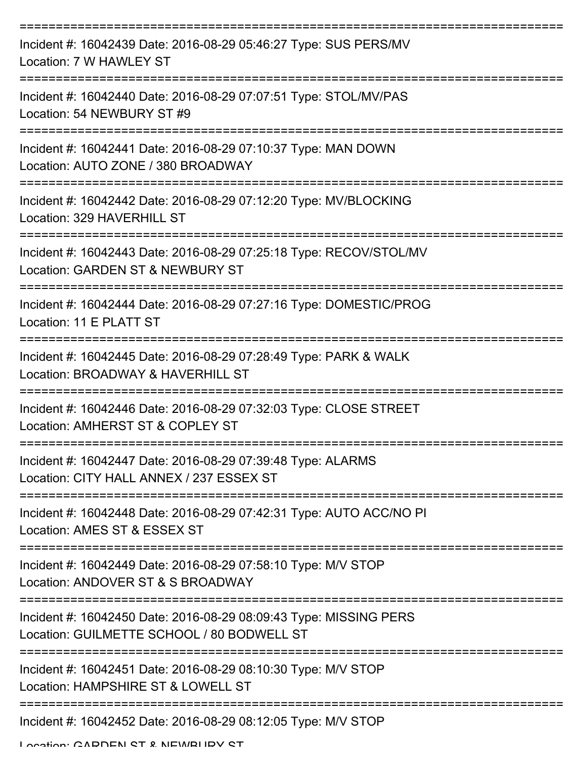| Incident #: 16042439 Date: 2016-08-29 05:46:27 Type: SUS PERS/MV<br>Location: 7 W HAWLEY ST                                   |
|-------------------------------------------------------------------------------------------------------------------------------|
| Incident #: 16042440 Date: 2016-08-29 07:07:51 Type: STOL/MV/PAS<br>Location: 54 NEWBURY ST #9                                |
| Incident #: 16042441 Date: 2016-08-29 07:10:37 Type: MAN DOWN<br>Location: AUTO ZONE / 380 BROADWAY                           |
| =======================<br>Incident #: 16042442 Date: 2016-08-29 07:12:20 Type: MV/BLOCKING<br>Location: 329 HAVERHILL ST     |
| Incident #: 16042443 Date: 2016-08-29 07:25:18 Type: RECOV/STOL/MV<br>Location: GARDEN ST & NEWBURY ST                        |
| Incident #: 16042444 Date: 2016-08-29 07:27:16 Type: DOMESTIC/PROG<br>Location: 11 E PLATT ST                                 |
| --------------------<br>Incident #: 16042445 Date: 2016-08-29 07:28:49 Type: PARK & WALK<br>Location: BROADWAY & HAVERHILL ST |
| Incident #: 16042446 Date: 2016-08-29 07:32:03 Type: CLOSE STREET<br>Location: AMHERST ST & COPLEY ST                         |
| Incident #: 16042447 Date: 2016-08-29 07:39:48 Type: ALARMS<br>Location: CITY HALL ANNEX / 237 ESSEX ST                       |
| Incident #: 16042448 Date: 2016-08-29 07:42:31 Type: AUTO ACC/NO PI<br>Location: AMES ST & ESSEX ST                           |
| Incident #: 16042449 Date: 2016-08-29 07:58:10 Type: M/V STOP<br>Location: ANDOVER ST & S BROADWAY                            |
| Incident #: 16042450 Date: 2016-08-29 08:09:43 Type: MISSING PERS<br>Location: GUILMETTE SCHOOL / 80 BODWELL ST               |
| Incident #: 16042451 Date: 2016-08-29 08:10:30 Type: M/V STOP<br>Location: HAMPSHIRE ST & LOWELL ST                           |
| Incident #: 16042452 Date: 2016-08-29 08:12:05 Type: M/V STOP                                                                 |

Location: CADDEN ST & NEWBUDY ST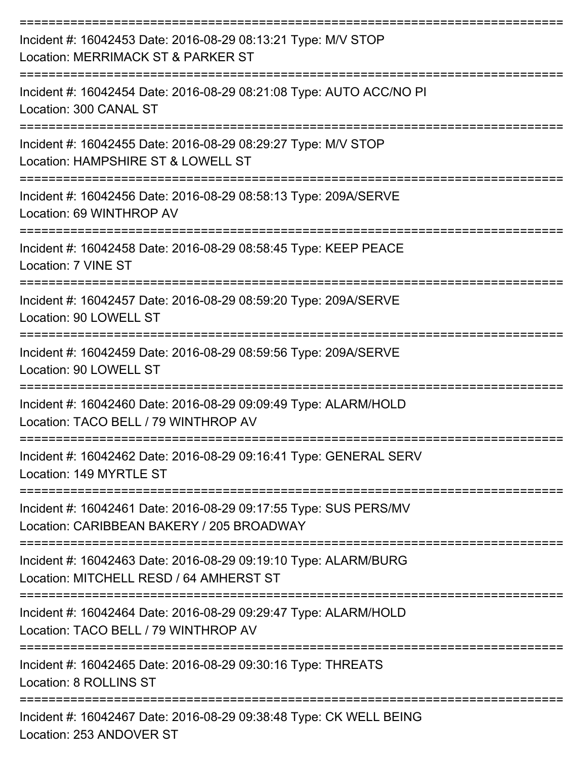| Incident #: 16042453 Date: 2016-08-29 08:13:21 Type: M/V STOP<br>Location: MERRIMACK ST & PARKER ST           |
|---------------------------------------------------------------------------------------------------------------|
| Incident #: 16042454 Date: 2016-08-29 08:21:08 Type: AUTO ACC/NO PI<br>Location: 300 CANAL ST                 |
| Incident #: 16042455 Date: 2016-08-29 08:29:27 Type: M/V STOP<br>Location: HAMPSHIRE ST & LOWELL ST           |
| Incident #: 16042456 Date: 2016-08-29 08:58:13 Type: 209A/SERVE<br>Location: 69 WINTHROP AV                   |
| Incident #: 16042458 Date: 2016-08-29 08:58:45 Type: KEEP PEACE<br>Location: 7 VINE ST                        |
| Incident #: 16042457 Date: 2016-08-29 08:59:20 Type: 209A/SERVE<br>Location: 90 LOWELL ST                     |
| Incident #: 16042459 Date: 2016-08-29 08:59:56 Type: 209A/SERVE<br>Location: 90 LOWELL ST                     |
| Incident #: 16042460 Date: 2016-08-29 09:09:49 Type: ALARM/HOLD<br>Location: TACO BELL / 79 WINTHROP AV       |
| Incident #: 16042462 Date: 2016-08-29 09:16:41 Type: GENERAL SERV<br>Location: 149 MYRTLE ST                  |
| Incident #: 16042461 Date: 2016-08-29 09:17:55 Type: SUS PERS/MV<br>Location: CARIBBEAN BAKERY / 205 BROADWAY |
| Incident #: 16042463 Date: 2016-08-29 09:19:10 Type: ALARM/BURG<br>Location: MITCHELL RESD / 64 AMHERST ST    |
| Incident #: 16042464 Date: 2016-08-29 09:29:47 Type: ALARM/HOLD<br>Location: TACO BELL / 79 WINTHROP AV       |
| Incident #: 16042465 Date: 2016-08-29 09:30:16 Type: THREATS<br>Location: 8 ROLLINS ST                        |
| Incident #: 16042467 Date: 2016-08-29 09:38:48 Type: CK WELL BEING<br>Location: 253 ANDOVER ST                |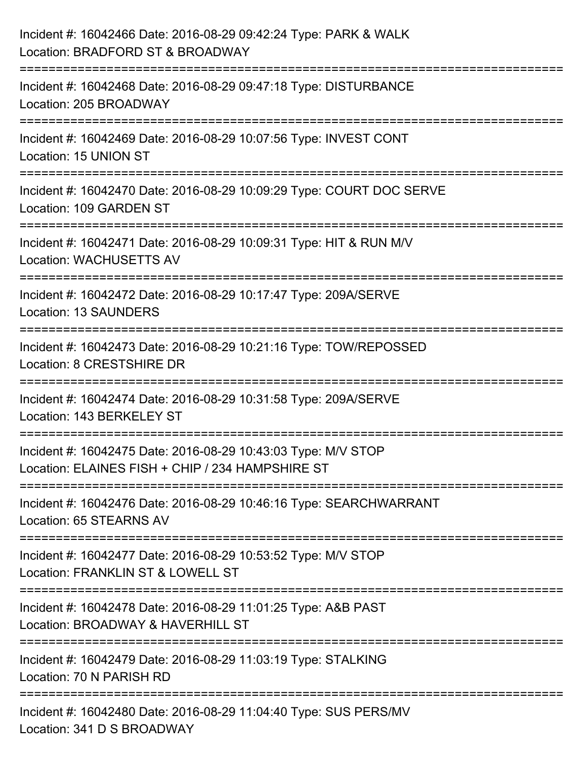| Incident #: 16042466 Date: 2016-08-29 09:42:24 Type: PARK & WALK<br>Location: BRADFORD ST & BROADWAY                                   |
|----------------------------------------------------------------------------------------------------------------------------------------|
| =======================<br>Incident #: 16042468 Date: 2016-08-29 09:47:18 Type: DISTURBANCE<br>Location: 205 BROADWAY                  |
| Incident #: 16042469 Date: 2016-08-29 10:07:56 Type: INVEST CONT<br>Location: 15 UNION ST<br>:=====================================    |
| Incident #: 16042470 Date: 2016-08-29 10:09:29 Type: COURT DOC SERVE<br>Location: 109 GARDEN ST                                        |
| Incident #: 16042471 Date: 2016-08-29 10:09:31 Type: HIT & RUN M/V<br><b>Location: WACHUSETTS AV</b><br>------------------------------ |
| Incident #: 16042472 Date: 2016-08-29 10:17:47 Type: 209A/SERVE<br>Location: 13 SAUNDERS                                               |
| Incident #: 16042473 Date: 2016-08-29 10:21:16 Type: TOW/REPOSSED<br>Location: 8 CRESTSHIRE DR                                         |
| Incident #: 16042474 Date: 2016-08-29 10:31:58 Type: 209A/SERVE<br>Location: 143 BERKELEY ST                                           |
| Incident #: 16042475 Date: 2016-08-29 10:43:03 Type: M/V STOP<br>Location: ELAINES FISH + CHIP / 234 HAMPSHIRE ST                      |
| Incident #: 16042476 Date: 2016-08-29 10:46:16 Type: SEARCHWARRANT<br>Location: 65 STEARNS AV                                          |
| Incident #: 16042477 Date: 2016-08-29 10:53:52 Type: M/V STOP<br>Location: FRANKLIN ST & LOWELL ST                                     |
| Incident #: 16042478 Date: 2016-08-29 11:01:25 Type: A&B PAST<br>Location: BROADWAY & HAVERHILL ST                                     |
| Incident #: 16042479 Date: 2016-08-29 11:03:19 Type: STALKING<br>Location: 70 N PARISH RD                                              |
| Incident #: 16042480 Date: 2016-08-29 11:04:40 Type: SUS PERS/MV<br>Location: 341 D S BROADWAY                                         |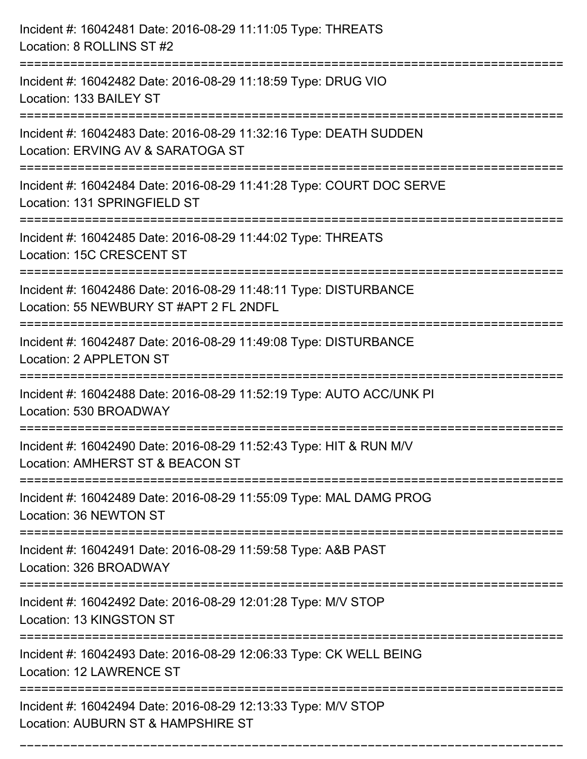| Incident #: 16042481 Date: 2016-08-29 11:11:05 Type: THREATS<br>Location: 8 ROLLINS ST #2                                                       |
|-------------------------------------------------------------------------------------------------------------------------------------------------|
| Incident #: 16042482 Date: 2016-08-29 11:18:59 Type: DRUG VIO<br>Location: 133 BAILEY ST                                                        |
| Incident #: 16042483 Date: 2016-08-29 11:32:16 Type: DEATH SUDDEN<br>Location: ERVING AV & SARATOGA ST<br>==================================    |
| Incident #: 16042484 Date: 2016-08-29 11:41:28 Type: COURT DOC SERVE<br>Location: 131 SPRINGFIELD ST                                            |
| Incident #: 16042485 Date: 2016-08-29 11:44:02 Type: THREATS<br>Location: 15C CRESCENT ST<br>:=================                                 |
| Incident #: 16042486 Date: 2016-08-29 11:48:11 Type: DISTURBANCE<br>Location: 55 NEWBURY ST #APT 2 FL 2NDFL<br>================================ |
| Incident #: 16042487 Date: 2016-08-29 11:49:08 Type: DISTURBANCE<br>Location: 2 APPLETON ST                                                     |
| Incident #: 16042488 Date: 2016-08-29 11:52:19 Type: AUTO ACC/UNK PI<br>Location: 530 BROADWAY                                                  |
| Incident #: 16042490 Date: 2016-08-29 11:52:43 Type: HIT & RUN M/V<br>Location: AMHERST ST & BEACON ST                                          |
| Incident #: 16042489 Date: 2016-08-29 11:55:09 Type: MAL DAMG PROG<br>Location: 36 NEWTON ST                                                    |
| Incident #: 16042491 Date: 2016-08-29 11:59:58 Type: A&B PAST<br>Location: 326 BROADWAY                                                         |
| Incident #: 16042492 Date: 2016-08-29 12:01:28 Type: M/V STOP<br>Location: 13 KINGSTON ST                                                       |
| Incident #: 16042493 Date: 2016-08-29 12:06:33 Type: CK WELL BEING<br>Location: 12 LAWRENCE ST                                                  |
| Incident #: 16042494 Date: 2016-08-29 12:13:33 Type: M/V STOP<br>Location: AUBURN ST & HAMPSHIRE ST                                             |

===========================================================================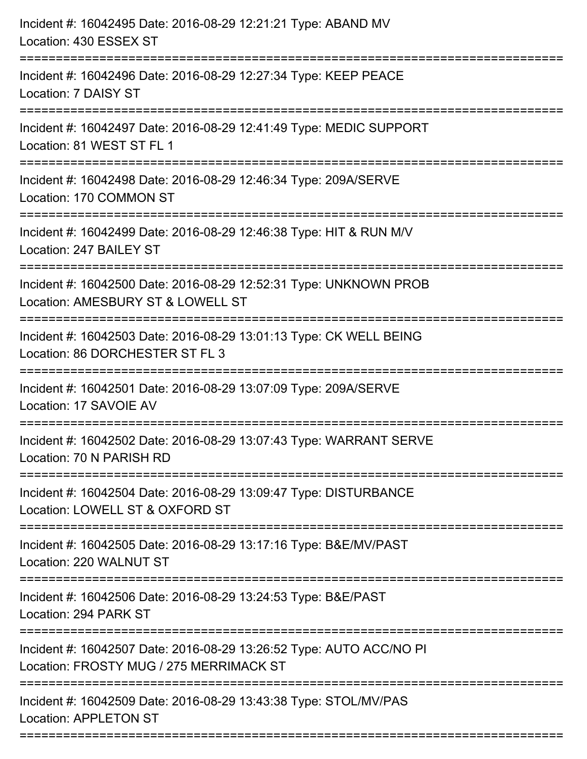| Incident #: 16042495 Date: 2016-08-29 12:21:21 Type: ABAND MV<br>Location: 430 ESSEX ST<br>============================                       |
|-----------------------------------------------------------------------------------------------------------------------------------------------|
| Incident #: 16042496 Date: 2016-08-29 12:27:34 Type: KEEP PEACE<br>Location: 7 DAISY ST                                                       |
| Incident #: 16042497 Date: 2016-08-29 12:41:49 Type: MEDIC SUPPORT<br>Location: 81 WEST ST FL 1                                               |
| Incident #: 16042498 Date: 2016-08-29 12:46:34 Type: 209A/SERVE<br>Location: 170 COMMON ST                                                    |
| Incident #: 16042499 Date: 2016-08-29 12:46:38 Type: HIT & RUN M/V<br>Location: 247 BAILEY ST                                                 |
| Incident #: 16042500 Date: 2016-08-29 12:52:31 Type: UNKNOWN PROB<br>Location: AMESBURY ST & LOWELL ST<br>=================================== |
| Incident #: 16042503 Date: 2016-08-29 13:01:13 Type: CK WELL BEING<br>Location: 86 DORCHESTER ST FL 3                                         |
| Incident #: 16042501 Date: 2016-08-29 13:07:09 Type: 209A/SERVE<br>Location: 17 SAVOIE AV                                                     |
| Incident #: 16042502 Date: 2016-08-29 13:07:43 Type: WARRANT SERVE<br>Location: 70 N PARISH RD                                                |
| Incident #: 16042504 Date: 2016-08-29 13:09:47 Type: DISTURBANCE<br>Location: LOWELL ST & OXFORD ST                                           |
| Incident #: 16042505 Date: 2016-08-29 13:17:16 Type: B&E/MV/PAST<br>Location: 220 WALNUT ST                                                   |
| Incident #: 16042506 Date: 2016-08-29 13:24:53 Type: B&E/PAST<br>Location: 294 PARK ST                                                        |
| Incident #: 16042507 Date: 2016-08-29 13:26:52 Type: AUTO ACC/NO PI<br>Location: FROSTY MUG / 275 MERRIMACK ST                                |
| Incident #: 16042509 Date: 2016-08-29 13:43:38 Type: STOL/MV/PAS<br><b>Location: APPLETON ST</b>                                              |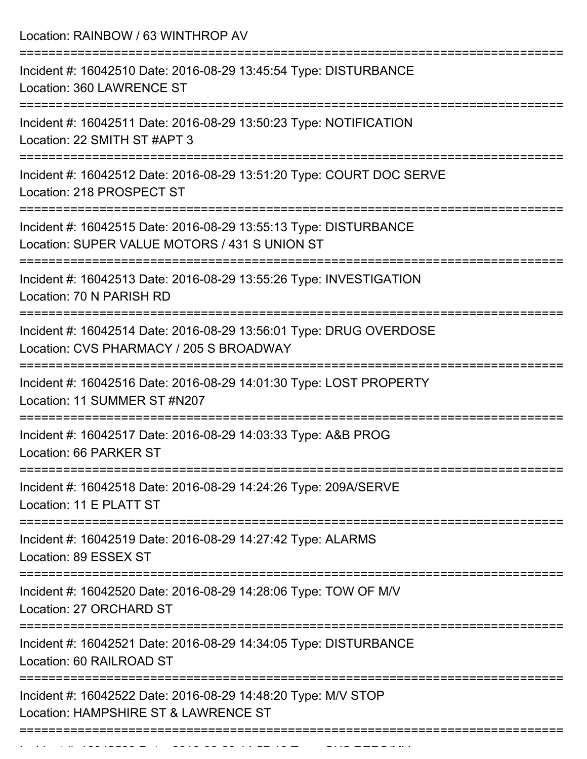| .------------------------ | Location: RAINBOW / 63 WINTHROP AV                                                                                |
|---------------------------|-------------------------------------------------------------------------------------------------------------------|
|                           | Incident #: 16042510 Date: 2016-08-29 13:45:54 Type: DISTURBANCE<br>Location: 360 LAWRENCE ST                     |
|                           | Incident #: 16042511 Date: 2016-08-29 13:50:23 Type: NOTIFICATION<br>Location: 22 SMITH ST #APT 3                 |
|                           | Incident #: 16042512 Date: 2016-08-29 13:51:20 Type: COURT DOC SERVE<br>Location: 218 PROSPECT ST                 |
|                           | Incident #: 16042515 Date: 2016-08-29 13:55:13 Type: DISTURBANCE<br>Location: SUPER VALUE MOTORS / 431 S UNION ST |
|                           | Incident #: 16042513 Date: 2016-08-29 13:55:26 Type: INVESTIGATION<br>Location: 70 N PARISH RD                    |
|                           | Incident #: 16042514 Date: 2016-08-29 13:56:01 Type: DRUG OVERDOSE<br>Location: CVS PHARMACY / 205 S BROADWAY     |
|                           | Incident #: 16042516 Date: 2016-08-29 14:01:30 Type: LOST PROPERTY<br>Location: 11 SUMMER ST #N207                |
|                           | Incident #: 16042517 Date: 2016-08-29 14:03:33 Type: A&B PROG<br>Location: 66 PARKER ST                           |
|                           | Incident #: 16042518 Date: 2016-08-29 14:24:26 Type: 209A/SERVE<br>Location: 11 E PLATT ST                        |
|                           | Incident #: 16042519 Date: 2016-08-29 14:27:42 Type: ALARMS<br>Location: 89 ESSEX ST                              |
|                           | Incident #: 16042520 Date: 2016-08-29 14:28:06 Type: TOW OF M/V<br>Location: 27 ORCHARD ST                        |
|                           | Incident #: 16042521 Date: 2016-08-29 14:34:05 Type: DISTURBANCE<br>Location: 60 RAILROAD ST                      |
|                           | Incident #: 16042522 Date: 2016-08-29 14:48:20 Type: M/V STOP<br>Location: HAMPSHIRE ST & LAWRENCE ST             |

Incident #: 16042523 Date: 2016 08 29 14:57:19 Date: 2016 09 29 14:57:19 14:57:19 Type: SUS<br>.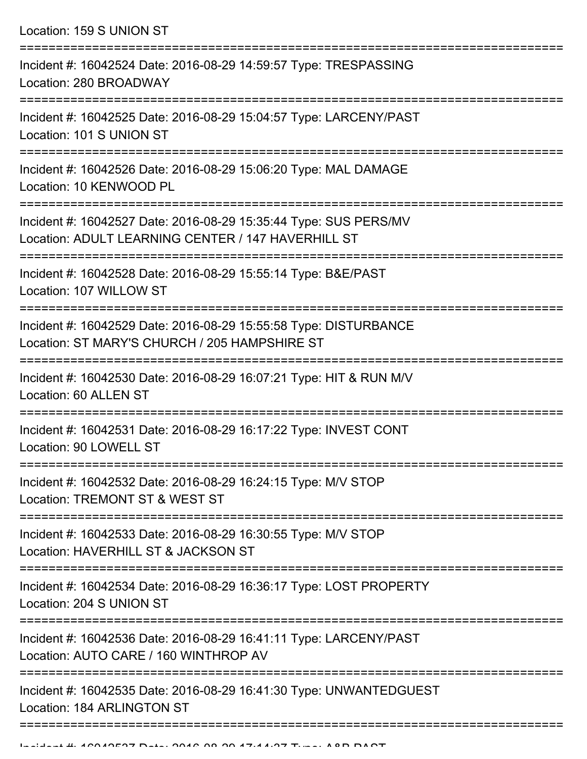Location: 159 S UNION ST

| Incident #: 16042524 Date: 2016-08-29 14:59:57 Type: TRESPASSING<br>Location: 280 BROADWAY                             |
|------------------------------------------------------------------------------------------------------------------------|
| Incident #: 16042525 Date: 2016-08-29 15:04:57 Type: LARCENY/PAST<br>Location: 101 S UNION ST                          |
| Incident #: 16042526 Date: 2016-08-29 15:06:20 Type: MAL DAMAGE<br>Location: 10 KENWOOD PL                             |
| Incident #: 16042527 Date: 2016-08-29 15:35:44 Type: SUS PERS/MV<br>Location: ADULT LEARNING CENTER / 147 HAVERHILL ST |
| Incident #: 16042528 Date: 2016-08-29 15:55:14 Type: B&E/PAST<br>Location: 107 WILLOW ST                               |
| Incident #: 16042529 Date: 2016-08-29 15:55:58 Type: DISTURBANCE<br>Location: ST MARY'S CHURCH / 205 HAMPSHIRE ST      |
| Incident #: 16042530 Date: 2016-08-29 16:07:21 Type: HIT & RUN M/V<br>Location: 60 ALLEN ST                            |
| Incident #: 16042531 Date: 2016-08-29 16:17:22 Type: INVEST CONT<br>Location: 90 LOWELL ST                             |
| Incident #: 16042532 Date: 2016-08-29 16:24:15 Type: M/V STOP<br>Location: TREMONT ST & WEST ST                        |
| Incident #: 16042533 Date: 2016-08-29 16:30:55 Type: M/V STOP<br>Location: HAVERHILL ST & JACKSON ST                   |
| Incident #: 16042534 Date: 2016-08-29 16:36:17 Type: LOST PROPERTY<br>Location: 204 S UNION ST                         |
| Incident #: 16042536 Date: 2016-08-29 16:41:11 Type: LARCENY/PAST<br>Location: AUTO CARE / 160 WINTHROP AV             |
| Incident #: 16042535 Date: 2016-08-29 16:41:30 Type: UNWANTEDGUEST<br>Location: 184 ARLINGTON ST                       |
|                                                                                                                        |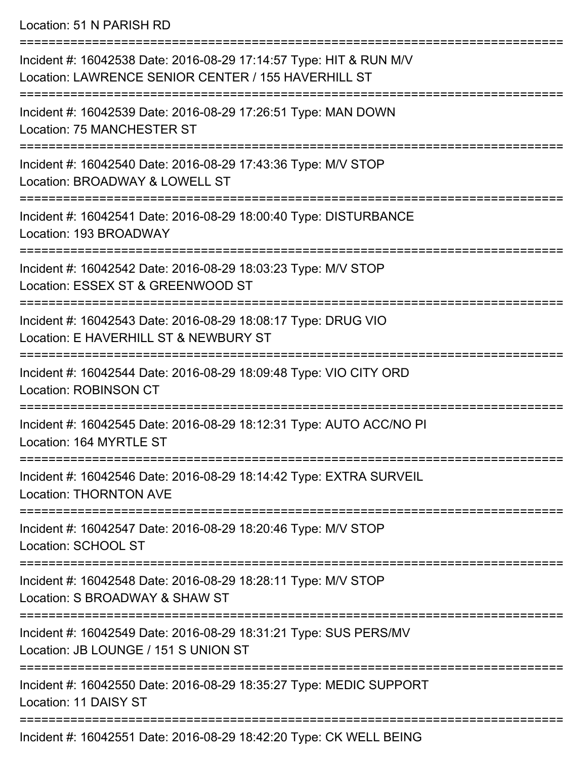Location: 51 N PARISH RD

| Incident #: 16042538 Date: 2016-08-29 17:14:57 Type: HIT & RUN M/V<br>Location: LAWRENCE SENIOR CENTER / 155 HAVERHILL ST |
|---------------------------------------------------------------------------------------------------------------------------|
| Incident #: 16042539 Date: 2016-08-29 17:26:51 Type: MAN DOWN<br>Location: 75 MANCHESTER ST                               |
| Incident #: 16042540 Date: 2016-08-29 17:43:36 Type: M/V STOP<br>Location: BROADWAY & LOWELL ST                           |
| Incident #: 16042541 Date: 2016-08-29 18:00:40 Type: DISTURBANCE<br>Location: 193 BROADWAY                                |
| Incident #: 16042542 Date: 2016-08-29 18:03:23 Type: M/V STOP<br>Location: ESSEX ST & GREENWOOD ST                        |
| Incident #: 16042543 Date: 2016-08-29 18:08:17 Type: DRUG VIO<br>Location: E HAVERHILL ST & NEWBURY ST                    |
| Incident #: 16042544 Date: 2016-08-29 18:09:48 Type: VIO CITY ORD<br><b>Location: ROBINSON CT</b>                         |
| Incident #: 16042545 Date: 2016-08-29 18:12:31 Type: AUTO ACC/NO PI<br>Location: 164 MYRTLE ST                            |
| Incident #: 16042546 Date: 2016-08-29 18:14:42 Type: EXTRA SURVEIL<br><b>Location: THORNTON AVE</b>                       |
| Incident #: 16042547 Date: 2016-08-29 18:20:46 Type: M/V STOP<br>Location: SCHOOL ST                                      |
| Incident #: 16042548 Date: 2016-08-29 18:28:11 Type: M/V STOP<br>Location: S BROADWAY & SHAW ST                           |
| Incident #: 16042549 Date: 2016-08-29 18:31:21 Type: SUS PERS/MV<br>Location: JB LOUNGE / 151 S UNION ST                  |
| Incident #: 16042550 Date: 2016-08-29 18:35:27 Type: MEDIC SUPPORT<br>Location: 11 DAISY ST                               |
| Incident #: 16042551 Date: 2016-08-29 18:42:20 Type: CK WELL BEING                                                        |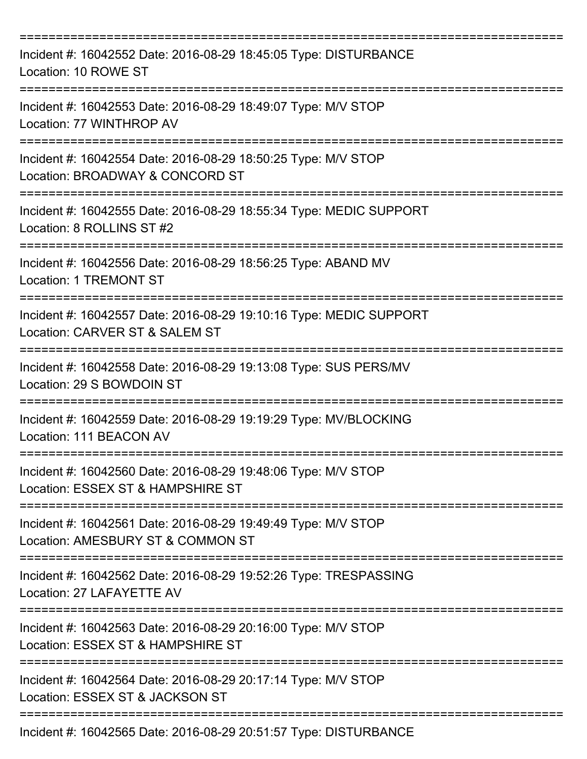| Incident #: 16042552 Date: 2016-08-29 18:45:05 Type: DISTURBANCE<br>Location: 10 ROWE ST             |
|------------------------------------------------------------------------------------------------------|
| Incident #: 16042553 Date: 2016-08-29 18:49:07 Type: M/V STOP<br>Location: 77 WINTHROP AV            |
| Incident #: 16042554 Date: 2016-08-29 18:50:25 Type: M/V STOP<br>Location: BROADWAY & CONCORD ST     |
| Incident #: 16042555 Date: 2016-08-29 18:55:34 Type: MEDIC SUPPORT<br>Location: 8 ROLLINS ST #2      |
| Incident #: 16042556 Date: 2016-08-29 18:56:25 Type: ABAND MV<br><b>Location: 1 TREMONT ST</b>       |
| Incident #: 16042557 Date: 2016-08-29 19:10:16 Type: MEDIC SUPPORT<br>Location: CARVER ST & SALEM ST |
| Incident #: 16042558 Date: 2016-08-29 19:13:08 Type: SUS PERS/MV<br>Location: 29 S BOWDOIN ST        |
| Incident #: 16042559 Date: 2016-08-29 19:19:29 Type: MV/BLOCKING<br>Location: 111 BEACON AV          |
| Incident #: 16042560 Date: 2016-08-29 19:48:06 Type: M/V STOP<br>Location: ESSEX ST & HAMPSHIRE ST   |
| Incident #: 16042561 Date: 2016-08-29 19:49:49 Type: M/V STOP<br>Location: AMESBURY ST & COMMON ST   |
| Incident #: 16042562 Date: 2016-08-29 19:52:26 Type: TRESPASSING<br>Location: 27 LAFAYETTE AV        |
| Incident #: 16042563 Date: 2016-08-29 20:16:00 Type: M/V STOP<br>Location: ESSEX ST & HAMPSHIRE ST   |
| Incident #: 16042564 Date: 2016-08-29 20:17:14 Type: M/V STOP<br>Location: ESSEX ST & JACKSON ST     |
| Incident #: 16042565 Date: 2016-08-29 20:51:57 Type: DISTURBANCE                                     |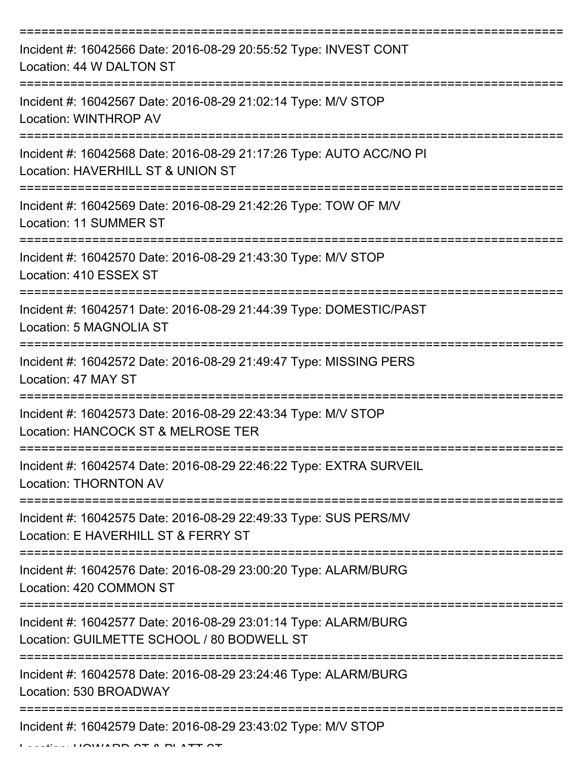| Incident #: 16042566 Date: 2016-08-29 20:55:52 Type: INVEST CONT<br>Location: 44 W DALTON ST                   |
|----------------------------------------------------------------------------------------------------------------|
| Incident #: 16042567 Date: 2016-08-29 21:02:14 Type: M/V STOP<br>Location: WINTHROP AV                         |
| Incident #: 16042568 Date: 2016-08-29 21:17:26 Type: AUTO ACC/NO PI<br>Location: HAVERHILL ST & UNION ST       |
| Incident #: 16042569 Date: 2016-08-29 21:42:26 Type: TOW OF M/V<br>Location: 11 SUMMER ST                      |
| Incident #: 16042570 Date: 2016-08-29 21:43:30 Type: M/V STOP<br>Location: 410 ESSEX ST                        |
| Incident #: 16042571 Date: 2016-08-29 21:44:39 Type: DOMESTIC/PAST<br>Location: 5 MAGNOLIA ST                  |
| Incident #: 16042572 Date: 2016-08-29 21:49:47 Type: MISSING PERS<br>Location: 47 MAY ST<br>:================= |
| Incident #: 16042573 Date: 2016-08-29 22:43:34 Type: M/V STOP<br>Location: HANCOCK ST & MELROSE TER            |
| Incident #: 16042574 Date: 2016-08-29 22:46:22 Type: EXTRA SURVEIL<br><b>Location: THORNTON AV</b>             |
| Incident #: 16042575 Date: 2016-08-29 22:49:33 Type: SUS PERS/MV<br>Location: E HAVERHILL ST & FERRY ST        |
| Incident #: 16042576 Date: 2016-08-29 23:00:20 Type: ALARM/BURG<br>Location: 420 COMMON ST                     |
| Incident #: 16042577 Date: 2016-08-29 23:01:14 Type: ALARM/BURG<br>Location: GUILMETTE SCHOOL / 80 BODWELL ST  |
| Incident #: 16042578 Date: 2016-08-29 23:24:46 Type: ALARM/BURG<br>Location: 530 BROADWAY                      |
| Incident #: 16042579 Date: 2016-08-29 23:43:02 Type: M/V STOP                                                  |